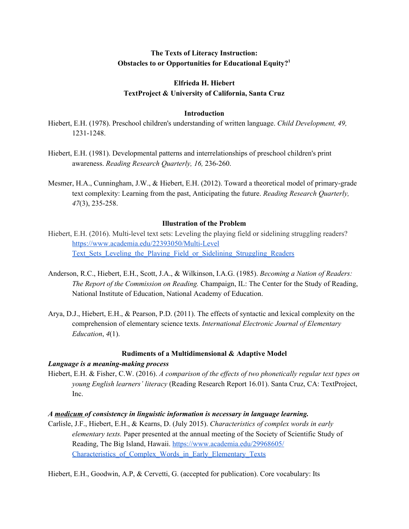# **The Texts of Literacy Instruction: Obstacles to or Opportunities for Educational Equity? 1**

## **Elfrieda H. Hiebert TextProject & University of California, Santa Cruz**

### **Introduction**

Hiebert, E.H. (1978). Preschool children's understanding of written language. *Child Development, 49,* 1231-1248.

- Hiebert, E.H. (1981). Developmental patterns and interrelationships of preschool children's print awareness. *Reading Research Quarterly, 16,* 236-260.
- Mesmer, H.A., Cunningham, J.W., & Hiebert, E.H. (2012). Toward a theoretical model of primary-grade text complexity: Learning from the past, Anticipating the future. *Reading Research Quarterly, 47*(3), 235-258.

## **Illustration of the Problem**

- Hiebert, E.H. (2016). Multi-level text sets: Leveling the playing field or sidelining struggling readers[?](https://www.academia.edu/22393050/Multi-Level%20Text_Sets_Leveling_the_Playing_Field_or_Sidelining_Struggling_Readers) [https://www.academia.edu/22393050/Multi-Level](https://www.academia.edu/22393050/Multi-Level%20Text_Sets_Leveling_the_Playing_Field_or_Sidelining_Struggling_Readers) Text Sets Leveling the Playing Field or Sidelining Struggling Readers
- Anderson, R.C., Hiebert, E.H., Scott, J.A., & Wilkinson, I.A.G. (1985). *Becoming a Nation of Readers: The Report of the Commission on Reading.* Champaign, IL: The Center for the Study of Reading, National Institute of Education, National Academy of Education.
- Arya, D.J., Hiebert, E.H., & Pearson, P.D. (2011). The effects of syntactic and lexical complexity on the comprehension of elementary science texts. *International Electronic Journal of Elementary Education*, *4*(1).

#### **Rudiments of a Multidimensional & Adaptive Model**

## *Language is a meaning-making process*

Hiebert, E.H. & Fisher, C.W. (2016). *A comparison of the effects of two phonetically regular text types on young English learners' literacy* (Reading Research Report 16.01). Santa Cruz, CA: TextProject, Inc.

## *A modicum of consistency in linguistic information is necessary in language learning.*

Carlisle, J.F., Hiebert, E.H., & Kearns, D. (July 2015). *Characteristics of complex words in early elementary texts.* Paper presented at the annual meeting of the Society of Scientific Study of Reading, The Big Island, Hawaii. [https://www.academia.edu/29968605/](https://www.academia.edu/29968605/%20Characteristics_of_Complex_Words_in_Early_Elementary_Texts) Characteristics of Complex Words in Early Elementary Texts

Hiebert, E.H., Goodwin, A.P, & Cervetti, G. (accepted for publication). Core vocabulary: Its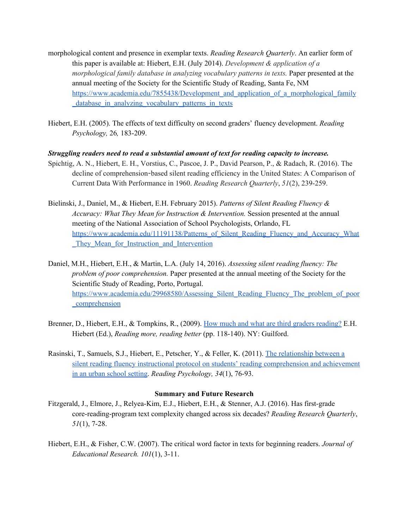- morphological content and presence in exemplar texts. *Reading Research Quarterly*. An earlier form of this paper is available at: Hiebert, E.H. (July 2014). *Development & application of a morphological family database in analyzing vocabulary patterns in texts.* Paper presented at the annual meeting of the Society for the Scientific Study of Reading, Santa Fe, N[M](https://www.academia.edu/7855438/Development_and_application_of_a_morphological_family_database_in_analyzing_vocabulary_patterns_in_texts) [https://www.academia.edu/7855438/Development\\_and\\_application\\_of\\_a\\_morphological\\_family](https://www.academia.edu/7855438/Development_and_application_of_a_morphological_family_database_in_analyzing_vocabulary_patterns_in_texts) database in analyzing vocabulary patterns in texts
- Hiebert, E.H. (2005). The effects of text difficulty on second graders' fluency development. *Reading Psychology,* 26*,* 183-209.

#### *Struggling readers need to read a substantial amount of text for reading capacity to increase.*

- Spichtig, A. N., Hiebert, E. H., Vorstius, C., Pascoe, J. P., David Pearson, P., & Radach, R. (2016). The decline of comprehension-based silent reading efficiency in the United States: A Comparison of Current Data With Performance in 1960. *Reading Research Quarterly*, *51*(2), 239-259.
- Bielinski, J., Daniel, M., & Hiebert, E.H. February 2015). *Patterns of Silent Reading Fluency & Accuracy: What They Mean for Instruction & Intervention.* Session presented at the annual meeting of the National Association of School Psychologists, Orlando, F[L](https://www.academia.edu/11191138/Patterns_of_Silent_Reading_Fluency_and_Accuracy_What_They_Mean_for_Instruction_and_Intervention) [https://www.academia.edu/11191138/Patterns\\_of\\_Silent\\_Reading\\_Fluency\\_and\\_Accuracy\\_What](https://www.academia.edu/11191138/Patterns_of_Silent_Reading_Fluency_and_Accuracy_What_They_Mean_for_Instruction_and_Intervention) They Mean for Instruction and Intervention
- Daniel, M.H., Hiebert, E.H., & Martin, L.A. (July 14, 2016). *Assessing silent reading fluency: The problem of poor comprehension.* Paper presented at the annual meeting of the Society for the Scientific Study of Reading, Porto, Portugal. [https://www.academia.edu/29968580/Assessing\\_Silent\\_Reading\\_Fluency\\_The\\_problem\\_of\\_poor](https://www.academia.edu/29968580/Assessing_Silent_Reading_Fluency_The_problem_of_poor_comprehension) [\\_comprehension](https://www.academia.edu/29968580/Assessing_Silent_Reading_Fluency_The_problem_of_poor_comprehension)
- Brenner, D., Hiebert, E.H., & Tompkins, R., (2009)[.](https://www.academia.edu/7411512/How_much_and_what_are_third_graders_reading) [How much and what are third graders reading?](https://www.academia.edu/7411512/How_much_and_what_are_third_graders_reading) E.H. Hiebert (Ed.), *Reading more, reading better* (pp. 118-140). NY: Guilford.
- Rasinski, T., Samuels, S.J., Hiebert, E., Petscher, Y., & Feller, K. (2011). [The relationship between a](https://www.academia.edu/7367344/The_relationship_between_a_silent_reading_fluency_instructional_protocol_on_students_reading_comprehension_and_achievement_in_an_urban_school_setting) [silent reading fluency instructional protocol on students' reading comprehension and achievement](https://www.academia.edu/7367344/The_relationship_between_a_silent_reading_fluency_instructional_protocol_on_students_reading_comprehension_and_achievement_in_an_urban_school_setting) [in an urban school setting.](https://www.academia.edu/7367344/The_relationship_between_a_silent_reading_fluency_instructional_protocol_on_students_reading_comprehension_and_achievement_in_an_urban_school_setting) *Reading Psychology, 34*(1), 76-93.

#### **Summary and Future Research**

- Fitzgerald, J., Elmore, J., Relyea-Kim, E.J., Hiebert, E.H., & Stenner, A.J. (2016). Has first-grade core-reading-program text complexity changed across six decades? *Reading Research Quarterly*, *51*(1), 7-28.
- Hiebert, E.H., & Fisher, C.W. (2007). The critical word factor in texts for beginning readers. *Journal of Educational Research. 101*(1), 3-11.